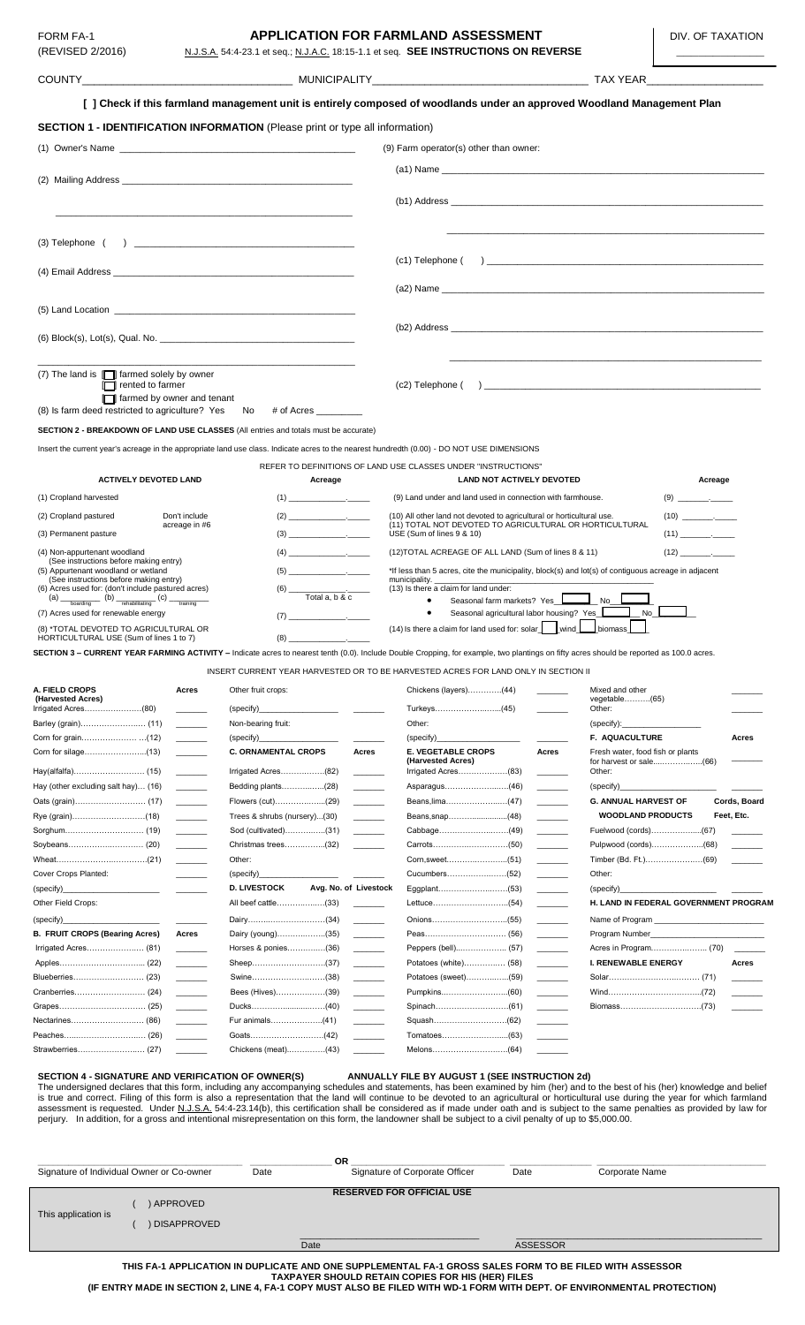# **FORM FA-1 APPLICATION FOR FARMLAND ASSESSMENT DIV. OF TAXATION** (REVISED 2/2016) N.J.S.A. 54:4-23.1 et seq.; N.J.A.C. 18:15-1.1 et seq. **SEE INSTRUCTIONS ON REVERSE**

|                                                                                                                                                                                                                                                                                                                                                                                                                                                                                                  | [ ] Check if this farmland management unit is entirely composed of woodlands under an approved Woodland Management Plan                                                                                                                                                                                                                                                                                                                                                  |                                                                                                                                                                                                                                                                                                                                                                                                                                                                                                                                                                                                |                                                                                                                                                                                                                                                                                                                                                                                                                                                                                                                                                             |  |
|--------------------------------------------------------------------------------------------------------------------------------------------------------------------------------------------------------------------------------------------------------------------------------------------------------------------------------------------------------------------------------------------------------------------------------------------------------------------------------------------------|--------------------------------------------------------------------------------------------------------------------------------------------------------------------------------------------------------------------------------------------------------------------------------------------------------------------------------------------------------------------------------------------------------------------------------------------------------------------------|------------------------------------------------------------------------------------------------------------------------------------------------------------------------------------------------------------------------------------------------------------------------------------------------------------------------------------------------------------------------------------------------------------------------------------------------------------------------------------------------------------------------------------------------------------------------------------------------|-------------------------------------------------------------------------------------------------------------------------------------------------------------------------------------------------------------------------------------------------------------------------------------------------------------------------------------------------------------------------------------------------------------------------------------------------------------------------------------------------------------------------------------------------------------|--|
|                                                                                                                                                                                                                                                                                                                                                                                                                                                                                                  | <b>SECTION 1 - IDENTIFICATION INFORMATION</b> (Please print or type all information)                                                                                                                                                                                                                                                                                                                                                                                     |                                                                                                                                                                                                                                                                                                                                                                                                                                                                                                                                                                                                |                                                                                                                                                                                                                                                                                                                                                                                                                                                                                                                                                             |  |
|                                                                                                                                                                                                                                                                                                                                                                                                                                                                                                  |                                                                                                                                                                                                                                                                                                                                                                                                                                                                          | (9) Farm operator(s) other than owner:                                                                                                                                                                                                                                                                                                                                                                                                                                                                                                                                                         |                                                                                                                                                                                                                                                                                                                                                                                                                                                                                                                                                             |  |
|                                                                                                                                                                                                                                                                                                                                                                                                                                                                                                  |                                                                                                                                                                                                                                                                                                                                                                                                                                                                          |                                                                                                                                                                                                                                                                                                                                                                                                                                                                                                                                                                                                |                                                                                                                                                                                                                                                                                                                                                                                                                                                                                                                                                             |  |
|                                                                                                                                                                                                                                                                                                                                                                                                                                                                                                  |                                                                                                                                                                                                                                                                                                                                                                                                                                                                          |                                                                                                                                                                                                                                                                                                                                                                                                                                                                                                                                                                                                |                                                                                                                                                                                                                                                                                                                                                                                                                                                                                                                                                             |  |
|                                                                                                                                                                                                                                                                                                                                                                                                                                                                                                  |                                                                                                                                                                                                                                                                                                                                                                                                                                                                          |                                                                                                                                                                                                                                                                                                                                                                                                                                                                                                                                                                                                |                                                                                                                                                                                                                                                                                                                                                                                                                                                                                                                                                             |  |
|                                                                                                                                                                                                                                                                                                                                                                                                                                                                                                  |                                                                                                                                                                                                                                                                                                                                                                                                                                                                          |                                                                                                                                                                                                                                                                                                                                                                                                                                                                                                                                                                                                |                                                                                                                                                                                                                                                                                                                                                                                                                                                                                                                                                             |  |
| (3) Telephone (                                                                                                                                                                                                                                                                                                                                                                                                                                                                                  |                                                                                                                                                                                                                                                                                                                                                                                                                                                                          |                                                                                                                                                                                                                                                                                                                                                                                                                                                                                                                                                                                                |                                                                                                                                                                                                                                                                                                                                                                                                                                                                                                                                                             |  |
|                                                                                                                                                                                                                                                                                                                                                                                                                                                                                                  |                                                                                                                                                                                                                                                                                                                                                                                                                                                                          |                                                                                                                                                                                                                                                                                                                                                                                                                                                                                                                                                                                                |                                                                                                                                                                                                                                                                                                                                                                                                                                                                                                                                                             |  |
|                                                                                                                                                                                                                                                                                                                                                                                                                                                                                                  |                                                                                                                                                                                                                                                                                                                                                                                                                                                                          |                                                                                                                                                                                                                                                                                                                                                                                                                                                                                                                                                                                                |                                                                                                                                                                                                                                                                                                                                                                                                                                                                                                                                                             |  |
|                                                                                                                                                                                                                                                                                                                                                                                                                                                                                                  |                                                                                                                                                                                                                                                                                                                                                                                                                                                                          |                                                                                                                                                                                                                                                                                                                                                                                                                                                                                                                                                                                                |                                                                                                                                                                                                                                                                                                                                                                                                                                                                                                                                                             |  |
|                                                                                                                                                                                                                                                                                                                                                                                                                                                                                                  |                                                                                                                                                                                                                                                                                                                                                                                                                                                                          |                                                                                                                                                                                                                                                                                                                                                                                                                                                                                                                                                                                                |                                                                                                                                                                                                                                                                                                                                                                                                                                                                                                                                                             |  |
|                                                                                                                                                                                                                                                                                                                                                                                                                                                                                                  |                                                                                                                                                                                                                                                                                                                                                                                                                                                                          |                                                                                                                                                                                                                                                                                                                                                                                                                                                                                                                                                                                                |                                                                                                                                                                                                                                                                                                                                                                                                                                                                                                                                                             |  |
| (7) The land is $\Box$ farmed solely by owner                                                                                                                                                                                                                                                                                                                                                                                                                                                    |                                                                                                                                                                                                                                                                                                                                                                                                                                                                          |                                                                                                                                                                                                                                                                                                                                                                                                                                                                                                                                                                                                |                                                                                                                                                                                                                                                                                                                                                                                                                                                                                                                                                             |  |
| $\Box$ rented to farmer<br>farmed by owner and tenant                                                                                                                                                                                                                                                                                                                                                                                                                                            |                                                                                                                                                                                                                                                                                                                                                                                                                                                                          |                                                                                                                                                                                                                                                                                                                                                                                                                                                                                                                                                                                                |                                                                                                                                                                                                                                                                                                                                                                                                                                                                                                                                                             |  |
| (8) Is farm deed restricted to agriculture? Yes No # of Acres                                                                                                                                                                                                                                                                                                                                                                                                                                    |                                                                                                                                                                                                                                                                                                                                                                                                                                                                          |                                                                                                                                                                                                                                                                                                                                                                                                                                                                                                                                                                                                |                                                                                                                                                                                                                                                                                                                                                                                                                                                                                                                                                             |  |
| SECTION 2 - BREAKDOWN OF LAND USE CLASSES (All entries and totals must be accurate)                                                                                                                                                                                                                                                                                                                                                                                                              |                                                                                                                                                                                                                                                                                                                                                                                                                                                                          |                                                                                                                                                                                                                                                                                                                                                                                                                                                                                                                                                                                                |                                                                                                                                                                                                                                                                                                                                                                                                                                                                                                                                                             |  |
|                                                                                                                                                                                                                                                                                                                                                                                                                                                                                                  | Insert the current year's acreage in the appropriate land use class. Indicate acres to the nearest hundredth (0.00) - DO NOT USE DIMENSIONS                                                                                                                                                                                                                                                                                                                              |                                                                                                                                                                                                                                                                                                                                                                                                                                                                                                                                                                                                |                                                                                                                                                                                                                                                                                                                                                                                                                                                                                                                                                             |  |
|                                                                                                                                                                                                                                                                                                                                                                                                                                                                                                  |                                                                                                                                                                                                                                                                                                                                                                                                                                                                          | REFER TO DEFINITIONS OF LAND USE CLASSES UNDER "INSTRUCTIONS"                                                                                                                                                                                                                                                                                                                                                                                                                                                                                                                                  |                                                                                                                                                                                                                                                                                                                                                                                                                                                                                                                                                             |  |
| <b>ACTIVELY DEVOTED LAND</b>                                                                                                                                                                                                                                                                                                                                                                                                                                                                     | Acreage                                                                                                                                                                                                                                                                                                                                                                                                                                                                  | <b>LAND NOT ACTIVELY DEVOTED</b>                                                                                                                                                                                                                                                                                                                                                                                                                                                                                                                                                               | Acreage                                                                                                                                                                                                                                                                                                                                                                                                                                                                                                                                                     |  |
| (1) Cropland harvested                                                                                                                                                                                                                                                                                                                                                                                                                                                                           |                                                                                                                                                                                                                                                                                                                                                                                                                                                                          | (9) Land under and land used in connection with farmhouse.                                                                                                                                                                                                                                                                                                                                                                                                                                                                                                                                     |                                                                                                                                                                                                                                                                                                                                                                                                                                                                                                                                                             |  |
| (2) Cropland pastured<br>Don't include<br>acreage in #6                                                                                                                                                                                                                                                                                                                                                                                                                                          |                                                                                                                                                                                                                                                                                                                                                                                                                                                                          | (10) All other land not devoted to agricultural or horticultural use.<br>(11) TOTAL NOT DEVOTED TO AGRICULTURAL OR HORTICULTURAL                                                                                                                                                                                                                                                                                                                                                                                                                                                               |                                                                                                                                                                                                                                                                                                                                                                                                                                                                                                                                                             |  |
| (3) Permanent pasture                                                                                                                                                                                                                                                                                                                                                                                                                                                                            |                                                                                                                                                                                                                                                                                                                                                                                                                                                                          | USE (Sum of lines 9 & 10)                                                                                                                                                                                                                                                                                                                                                                                                                                                                                                                                                                      |                                                                                                                                                                                                                                                                                                                                                                                                                                                                                                                                                             |  |
| (4) Non-appurtenant woodland<br>(See instructions before making entry)                                                                                                                                                                                                                                                                                                                                                                                                                           | $(4) \qquad \qquad \underbrace{\qquad \qquad }$                                                                                                                                                                                                                                                                                                                                                                                                                          | (12) TOTAL ACREAGE OF ALL LAND (Sum of lines 8 & 11)                                                                                                                                                                                                                                                                                                                                                                                                                                                                                                                                           | $(12)$ .                                                                                                                                                                                                                                                                                                                                                                                                                                                                                                                                                    |  |
| (5) Appurtenant woodland or wetland<br>(See instructions before making entry)                                                                                                                                                                                                                                                                                                                                                                                                                    |                                                                                                                                                                                                                                                                                                                                                                                                                                                                          | *If less than 5 acres, cite the municipality, block(s) and lot(s) of contiguous acreage in adjacent<br>municipality.                                                                                                                                                                                                                                                                                                                                                                                                                                                                           |                                                                                                                                                                                                                                                                                                                                                                                                                                                                                                                                                             |  |
| (6) Acres used for: (don't include pastured acres)<br>$(a)$ $\frac{1}{\sqrt{a}}$ $(b)$ $\frac{1}{\sqrt{b}}$ $(c)$                                                                                                                                                                                                                                                                                                                                                                                | $\overline{\text{Total a, b & c}}$                                                                                                                                                                                                                                                                                                                                                                                                                                       | (13) Is there a claim for land under:<br>Seasonal farm markets? Yes<br>$\bullet$                                                                                                                                                                                                                                                                                                                                                                                                                                                                                                               |                                                                                                                                                                                                                                                                                                                                                                                                                                                                                                                                                             |  |
| training<br>(7) Acres used for renewable energy                                                                                                                                                                                                                                                                                                                                                                                                                                                  |                                                                                                                                                                                                                                                                                                                                                                                                                                                                          | $\bullet$                                                                                                                                                                                                                                                                                                                                                                                                                                                                                                                                                                                      |                                                                                                                                                                                                                                                                                                                                                                                                                                                                                                                                                             |  |
| (8) *TOTAL DEVOTED TO AGRICULTURAL OR<br>HORTICULTURAL USE (Sum of lines 1 to 7)                                                                                                                                                                                                                                                                                                                                                                                                                 |                                                                                                                                                                                                                                                                                                                                                                                                                                                                          | $(14)$ Is there a claim for land used for: solar wind                                                                                                                                                                                                                                                                                                                                                                                                                                                                                                                                          | $\mathsf{\mathsf{I}}$ biomass                                                                                                                                                                                                                                                                                                                                                                                                                                                                                                                               |  |
|                                                                                                                                                                                                                                                                                                                                                                                                                                                                                                  | SECTION 3 - CURRENT YEAR FARMING ACTIVITY - Indicate acres to nearest tenth (0.0). Include Double Cropping, for example, two plantings on fifty acres should be reported as 100.0 acres.                                                                                                                                                                                                                                                                                 |                                                                                                                                                                                                                                                                                                                                                                                                                                                                                                                                                                                                |                                                                                                                                                                                                                                                                                                                                                                                                                                                                                                                                                             |  |
|                                                                                                                                                                                                                                                                                                                                                                                                                                                                                                  | INSERT CURRENT YEAR HARVESTED OR TO BE HARVESTED ACRES FOR LAND ONLY IN SECTION II                                                                                                                                                                                                                                                                                                                                                                                       |                                                                                                                                                                                                                                                                                                                                                                                                                                                                                                                                                                                                |                                                                                                                                                                                                                                                                                                                                                                                                                                                                                                                                                             |  |
| A. FIELD CROPS<br>Acres                                                                                                                                                                                                                                                                                                                                                                                                                                                                          | Other fruit crops:                                                                                                                                                                                                                                                                                                                                                                                                                                                       | Chickens (layers)(44)                                                                                                                                                                                                                                                                                                                                                                                                                                                                                                                                                                          | Mixed and other                                                                                                                                                                                                                                                                                                                                                                                                                                                                                                                                             |  |
| (Harvested Acres)<br>Irrigated Acres(80)                                                                                                                                                                                                                                                                                                                                                                                                                                                         | (specify)                                                                                                                                                                                                                                                                                                                                                                                                                                                                |                                                                                                                                                                                                                                                                                                                                                                                                                                                                                                                                                                                                | $vegetable$ (65)<br>Other:                                                                                                                                                                                                                                                                                                                                                                                                                                                                                                                                  |  |
| Barley (grain) (11)                                                                                                                                                                                                                                                                                                                                                                                                                                                                              | Non-bearing fruit:                                                                                                                                                                                                                                                                                                                                                                                                                                                       | Other:                                                                                                                                                                                                                                                                                                                                                                                                                                                                                                                                                                                         | (specify):                                                                                                                                                                                                                                                                                                                                                                                                                                                                                                                                                  |  |
|                                                                                                                                                                                                                                                                                                                                                                                                                                                                                                  | (specify)                                                                                                                                                                                                                                                                                                                                                                                                                                                                |                                                                                                                                                                                                                                                                                                                                                                                                                                                                                                                                                                                                | F. AQUACULTURE<br>Acres                                                                                                                                                                                                                                                                                                                                                                                                                                                                                                                                     |  |
| $\begin{tabular}{ll} \multicolumn{2}{c} {\textbf{1}} & \multicolumn{2}{c} {\textbf{1}} & \multicolumn{2}{c} {\textbf{1}} \\ \multicolumn{2}{c} {\textbf{2}} & \multicolumn{2}{c} {\textbf{3}} & \multicolumn{2}{c} {\textbf{4}} \\ \multicolumn{2}{c} {\textbf{4}} & \multicolumn{2}{c} {\textbf{5}} & \multicolumn{2}{c} {\textbf{6}} \\ \multicolumn{2}{c} {\textbf{5}} & \multicolumn{2}{c} {\textbf{6}} & \multicolumn{2}{c} {\textbf{6}} \\ \multicolumn{2}{c} {\textbf{5}} & \multicolumn$ | <b>C. ORNAMENTAL CROPS</b><br>Acres                                                                                                                                                                                                                                                                                                                                                                                                                                      | <b>E. VEGETABLE CROPS</b><br>Acres<br>(Harvested Acres)                                                                                                                                                                                                                                                                                                                                                                                                                                                                                                                                        | Fresh water, food fish or plants                                                                                                                                                                                                                                                                                                                                                                                                                                                                                                                            |  |
|                                                                                                                                                                                                                                                                                                                                                                                                                                                                                                  | Irrigated Acres(82)                                                                                                                                                                                                                                                                                                                                                                                                                                                      | Irrigated Acres(83)                                                                                                                                                                                                                                                                                                                                                                                                                                                                                                                                                                            | Other:                                                                                                                                                                                                                                                                                                                                                                                                                                                                                                                                                      |  |
| Hay (other excluding salt hay) (16)                                                                                                                                                                                                                                                                                                                                                                                                                                                              | Bedding plants(28)                                                                                                                                                                                                                                                                                                                                                                                                                                                       | Asparagus(46)                                                                                                                                                                                                                                                                                                                                                                                                                                                                                                                                                                                  | (specify)<br>Cords, Board                                                                                                                                                                                                                                                                                                                                                                                                                                                                                                                                   |  |
| $\frac{1}{2}$                                                                                                                                                                                                                                                                                                                                                                                                                                                                                    | Flowers (cut)(29)<br>Trees & shrubs (nursery)(30)                                                                                                                                                                                                                                                                                                                                                                                                                        |                                                                                                                                                                                                                                                                                                                                                                                                                                                                                                                                                                                                | <b>G. ANNUAL HARVEST OF</b><br><b>WOODLAND PRODUCTS</b><br>Feet, Etc.                                                                                                                                                                                                                                                                                                                                                                                                                                                                                       |  |
|                                                                                                                                                                                                                                                                                                                                                                                                                                                                                                  | Sod (cultivated)(31)                                                                                                                                                                                                                                                                                                                                                                                                                                                     |                                                                                                                                                                                                                                                                                                                                                                                                                                                                                                                                                                                                | Fuelwood (cords)(67)                                                                                                                                                                                                                                                                                                                                                                                                                                                                                                                                        |  |
|                                                                                                                                                                                                                                                                                                                                                                                                                                                                                                  | Christmas trees(32)                                                                                                                                                                                                                                                                                                                                                                                                                                                      |                                                                                                                                                                                                                                                                                                                                                                                                                                                                                                                                                                                                | Pulpwood (cords)(68)                                                                                                                                                                                                                                                                                                                                                                                                                                                                                                                                        |  |
|                                                                                                                                                                                                                                                                                                                                                                                                                                                                                                  | Other:                                                                                                                                                                                                                                                                                                                                                                                                                                                                   |                                                                                                                                                                                                                                                                                                                                                                                                                                                                                                                                                                                                |                                                                                                                                                                                                                                                                                                                                                                                                                                                                                                                                                             |  |
| Cover Crops Planted:                                                                                                                                                                                                                                                                                                                                                                                                                                                                             | (specify)                                                                                                                                                                                                                                                                                                                                                                                                                                                                |                                                                                                                                                                                                                                                                                                                                                                                                                                                                                                                                                                                                | Other:                                                                                                                                                                                                                                                                                                                                                                                                                                                                                                                                                      |  |
| (specify)_                                                                                                                                                                                                                                                                                                                                                                                                                                                                                       | <b>D. LIVESTOCK</b><br>Avg. No. of Livestock                                                                                                                                                                                                                                                                                                                                                                                                                             |                                                                                                                                                                                                                                                                                                                                                                                                                                                                                                                                                                                                | (specify)                                                                                                                                                                                                                                                                                                                                                                                                                                                                                                                                                   |  |
| Other Field Crops:                                                                                                                                                                                                                                                                                                                                                                                                                                                                               | All beef cattle(33)                                                                                                                                                                                                                                                                                                                                                                                                                                                      |                                                                                                                                                                                                                                                                                                                                                                                                                                                                                                                                                                                                | H. LAND IN FEDERAL GOVERNMENT PROGRAM                                                                                                                                                                                                                                                                                                                                                                                                                                                                                                                       |  |
| (specify)<br><b>B. FRUIT CROPS (Bearing Acres)</b><br>Acres                                                                                                                                                                                                                                                                                                                                                                                                                                      | Dairy(34)<br>Dairy (young)(35)<br>$\begin{tabular}{ccccc} \multicolumn{2}{c }{\textbf{1} & \textbf{2} & \textbf{3} & \textbf{4} & \textbf{5} & \textbf{5} & \textbf{6} & \textbf{7} & \textbf{8} & \textbf{9} & \textbf{10} & \textbf{10} & \textbf{10} & \textbf{10} & \textbf{10} & \textbf{10} & \textbf{10} & \textbf{10} & \textbf{10} & \textbf{10} & \textbf{10} & \textbf{10} & \textbf{10} & \textbf{10} & \textbf{10} & \textbf{10} & \textbf$                 | $\frac{1}{2} \left( \frac{1}{2} \right)^2 \left( \frac{1}{2} \right)^2 \left( \frac{1}{2} \right)^2$<br>$\begin{array}{cccccccccc} \multicolumn{2}{c}{} & \multicolumn{2}{c}{} & \multicolumn{2}{c}{} & \multicolumn{2}{c}{} & \multicolumn{2}{c}{} & \multicolumn{2}{c}{} & \multicolumn{2}{c}{} & \multicolumn{2}{c}{} & \multicolumn{2}{c}{} & \multicolumn{2}{c}{} & \multicolumn{2}{c}{} & \multicolumn{2}{c}{} & \multicolumn{2}{c}{} & \multicolumn{2}{c}{} & \multicolumn{2}{c}{} & \multicolumn{2}{c}{} & \multicolumn{2}{c}{} & \multicolumn{2}{c}{} & \multicolumn{2}{c}{} & \mult$ | Name of Program                                                                                                                                                                                                                                                                                                                                                                                                                                                                                                                                             |  |
|                                                                                                                                                                                                                                                                                                                                                                                                                                                                                                  | Horses & ponies(36)                                                                                                                                                                                                                                                                                                                                                                                                                                                      |                                                                                                                                                                                                                                                                                                                                                                                                                                                                                                                                                                                                |                                                                                                                                                                                                                                                                                                                                                                                                                                                                                                                                                             |  |
|                                                                                                                                                                                                                                                                                                                                                                                                                                                                                                  |                                                                                                                                                                                                                                                                                                                                                                                                                                                                          | Potatoes (white) (58)                                                                                                                                                                                                                                                                                                                                                                                                                                                                                                                                                                          | <b>I. RENEWABLE ENERGY</b><br>Acres                                                                                                                                                                                                                                                                                                                                                                                                                                                                                                                         |  |
| Blueberries (23)                                                                                                                                                                                                                                                                                                                                                                                                                                                                                 |                                                                                                                                                                                                                                                                                                                                                                                                                                                                          | Potatoes (sweet)(59)                                                                                                                                                                                                                                                                                                                                                                                                                                                                                                                                                                           | $\frac{1}{2}$                                                                                                                                                                                                                                                                                                                                                                                                                                                                                                                                               |  |
|                                                                                                                                                                                                                                                                                                                                                                                                                                                                                                  | Bees (Hives)(39)                                                                                                                                                                                                                                                                                                                                                                                                                                                         |                                                                                                                                                                                                                                                                                                                                                                                                                                                                                                                                                                                                |                                                                                                                                                                                                                                                                                                                                                                                                                                                                                                                                                             |  |
| Nectarines (86)                                                                                                                                                                                                                                                                                                                                                                                                                                                                                  |                                                                                                                                                                                                                                                                                                                                                                                                                                                                          |                                                                                                                                                                                                                                                                                                                                                                                                                                                                                                                                                                                                |                                                                                                                                                                                                                                                                                                                                                                                                                                                                                                                                                             |  |
| $\begin{tabular}{ll} \multicolumn{2}{c} {\textbf{1}} & \multicolumn{2}{c} {\textbf{1}} & \multicolumn{2}{c} {\textbf{1}} \\ \multicolumn{2}{c} {\textbf{2}} & \multicolumn{2}{c} {\textbf{3}} & \multicolumn{2}{c} {\textbf{4}} \\ \multicolumn{2}{c} {\textbf{4}} & \multicolumn{2}{c} {\textbf{5}} & \multicolumn{2}{c} {\textbf{6}} \\ \multicolumn{2}{c} {\textbf{5}} & \multicolumn{2}{c} {\textbf{6}} & \multicolumn{2}{c} {\textbf{6}} \\ \multicolumn{2}{c} {\textbf{5}} & \multicolumn$ | Fur animals(41)<br>$\begin{tabular}{lllllllll} \toprule & & \multicolumn{3}{c}{c}{\textbf{1.5}} & \multicolumn{3}{c}{\textbf{1.5}} & \multicolumn{3}{c}{\textbf{1.5}} & \multicolumn{3}{c}{\textbf{1.5}} & \multicolumn{3}{c}{\textbf{1.5}} & \multicolumn{3}{c}{\textbf{1.5}} & \multicolumn{3}{c}{\textbf{1.5}} & \multicolumn{3}{c}{\textbf{1.5}} & \multicolumn{3}{c}{\textbf{1.5}} & \multicolumn{3}{c}{\textbf{1.5}} & \multicolumn{3}{c}{\textbf{1.5}} & \multic$ |                                                                                                                                                                                                                                                                                                                                                                                                                                                                                                                                                                                                |                                                                                                                                                                                                                                                                                                                                                                                                                                                                                                                                                             |  |
|                                                                                                                                                                                                                                                                                                                                                                                                                                                                                                  | Chickens (meat)(43)                                                                                                                                                                                                                                                                                                                                                                                                                                                      |                                                                                                                                                                                                                                                                                                                                                                                                                                                                                                                                                                                                |                                                                                                                                                                                                                                                                                                                                                                                                                                                                                                                                                             |  |
|                                                                                                                                                                                                                                                                                                                                                                                                                                                                                                  |                                                                                                                                                                                                                                                                                                                                                                                                                                                                          |                                                                                                                                                                                                                                                                                                                                                                                                                                                                                                                                                                                                |                                                                                                                                                                                                                                                                                                                                                                                                                                                                                                                                                             |  |
| SECTION 4 - SIGNATURE AND VERIFICATION OF OWNER(S)                                                                                                                                                                                                                                                                                                                                                                                                                                               | perjury. In addition, for a gross and intentional misrepresentation on this form, the landowner shall be subject to a civil penalty of up to \$5,000.00.                                                                                                                                                                                                                                                                                                                 | ANNUALLY FILE BY AUGUST 1 (SEE INSTRUCTION 2d)                                                                                                                                                                                                                                                                                                                                                                                                                                                                                                                                                 | The undersigned declares that this form, including any accompanying schedules and statements, has been examined by him (her) and to the best of his (her) knowledge and belief<br>is true and correct. Filing of this form is also a representation that the land will continue to be devoted to an agricultural or horticultural use during the year for which farmland<br>assessment is requested. Under N.J.S.A. 54:4-23.14(b), this certification shall be considered as if made under oath and is subject to the same penalties as provided by law for |  |

|                     |                                           |      | <b>OR</b>                        |                 |                |  |
|---------------------|-------------------------------------------|------|----------------------------------|-----------------|----------------|--|
|                     | Signature of Individual Owner or Co-owner | Date | Signature of Corporate Officer   | Date            | Corporate Name |  |
|                     |                                           |      |                                  |                 |                |  |
|                     |                                           |      | <b>RESERVED FOR OFFICIAL USE</b> |                 |                |  |
| This application is | ) APPROVED                                |      |                                  |                 |                |  |
|                     |                                           |      |                                  |                 |                |  |
|                     | ) DISAPPROVED                             |      |                                  |                 |                |  |
|                     |                                           |      |                                  |                 |                |  |
|                     |                                           | Date |                                  | <b>ASSESSOR</b> |                |  |

**THIS FA-1 APPLICATION IN DUPLICATE AND ONE SUPPLEMENTAL FA-1 GROSS SALES FORM TO BE FILED WITH ASSESSOR** 

**TAXPAYER SHOULD RETAIN COPIES FOR HIS (HER) FILES (IF ENTRY MADE IN SECTION 2, LINE 4, FA-1 COPY MUST ALSO BE FILED WITH WD-1 FORM WITH DEPT. OF ENVIRONMENTAL PROTECTION)**